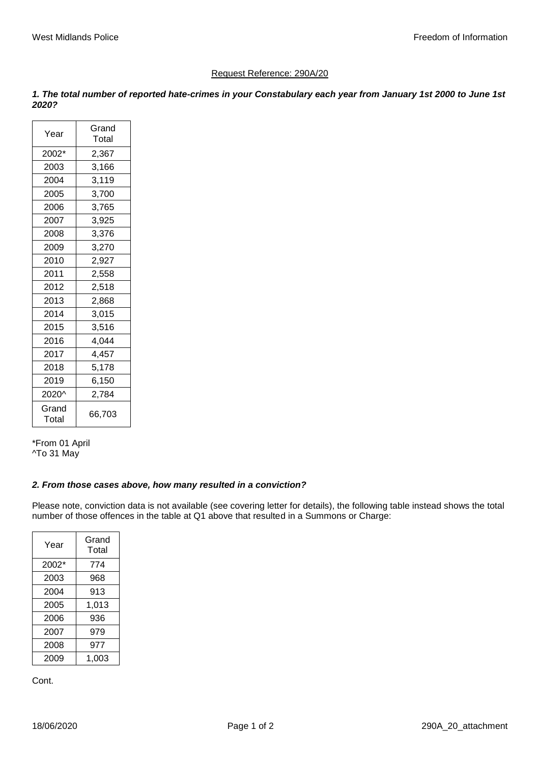## Request Reference: 290A/20

*1. The total number of reported hate-crimes in your Constabulary each year from January 1st 2000 to June 1st 2020?*

| Year           | Grand<br>Total |  |  |  |  |  |  |
|----------------|----------------|--|--|--|--|--|--|
| 2002*          | 2,367          |  |  |  |  |  |  |
| 2003           | 3,166          |  |  |  |  |  |  |
| 2004           | 3,119          |  |  |  |  |  |  |
| 2005           | 3,700          |  |  |  |  |  |  |
| 2006           | 3,765          |  |  |  |  |  |  |
| 2007           | 3,925          |  |  |  |  |  |  |
| 2008           | 3,376          |  |  |  |  |  |  |
| 2009           | 3,270          |  |  |  |  |  |  |
| 2010           | 2,927          |  |  |  |  |  |  |
| 2011           | 2,558          |  |  |  |  |  |  |
| 2012           | 2,518          |  |  |  |  |  |  |
| 2013           | 2,868          |  |  |  |  |  |  |
| 2014           | 3,015          |  |  |  |  |  |  |
| 2015           | 3,516          |  |  |  |  |  |  |
| 2016           | 4,044          |  |  |  |  |  |  |
| 2017           | 4,457          |  |  |  |  |  |  |
| 2018           | 5,178          |  |  |  |  |  |  |
| 2019           | 6,150          |  |  |  |  |  |  |
| 2020^          | 2,784          |  |  |  |  |  |  |
| Grand<br>Total | 66,703         |  |  |  |  |  |  |

\*From 01 April ^To 31 May

## *2. From those cases above, how many resulted in a conviction?*

Please note, conviction data is not available (see covering letter for details), the following table instead shows the total number of those offences in the table at Q1 above that resulted in a Summons or Charge:

| Year  | Grand<br>Total |  |  |  |  |  |
|-------|----------------|--|--|--|--|--|
| 2002* | 774            |  |  |  |  |  |
| 2003  | 968            |  |  |  |  |  |
| 2004  | 913            |  |  |  |  |  |
| 2005  | 1,013          |  |  |  |  |  |
| 2006  | 936            |  |  |  |  |  |
| 2007  | 979            |  |  |  |  |  |
| 2008  | 977            |  |  |  |  |  |
| 2009  | 1.003          |  |  |  |  |  |

Cont.